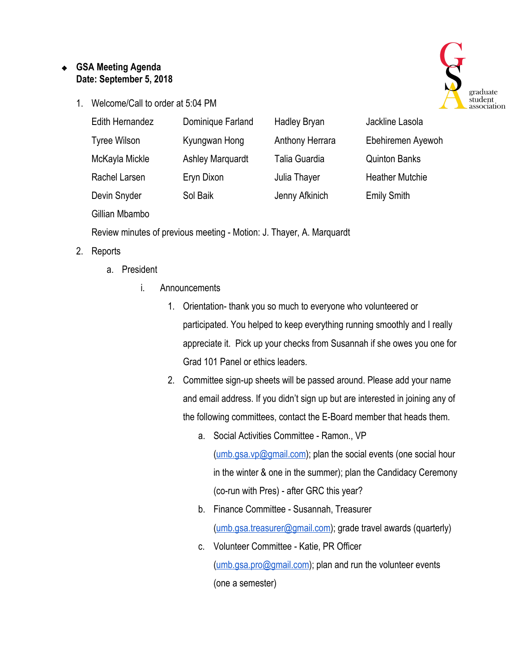## ❖ **GSA Meeting Agenda Date: September 5, 2018**

1. Welcome/Call to order at 5:04 PM



| Edith Hernandez | Dominique Farland       | <b>Hadley Bryan</b> | Jackline Lasola        |
|-----------------|-------------------------|---------------------|------------------------|
| Tyree Wilson    | Kyungwan Hong           | Anthony Herrara     | Ebehiremen Ayewoh      |
| McKayla Mickle  | <b>Ashley Marquardt</b> | Talia Guardia       | <b>Quinton Banks</b>   |
| Rachel Larsen   | Eryn Dixon              | Julia Thayer        | <b>Heather Mutchie</b> |
| Devin Snyder    | Sol Baik                | Jenny Afkinich      | <b>Emily Smith</b>     |
|                 |                         |                     |                        |

Gillian Mbambo

Review minutes of previous meeting - Motion: J. Thayer, A. Marquardt

- 2. Reports
	- a. President
		- i. Announcements
			- 1. Orientation- thank you so much to everyone who volunteered or participated. You helped to keep everything running smoothly and I really appreciate it. Pick up your checks from Susannah if she owes you one for Grad 101 Panel or ethics leaders.
			- 2. Committee sign-up sheets will be passed around. Please add your name and email address. If you didn't sign up but are interested in joining any of the following committees, contact the E-Board member that heads them.
				- a. Social Activities Committee Ramon., VP [\(umb.gsa.vp@gmail.com\)](mailto:umb.gsa.vp@gmail.com); plan the social events (one social hour in the winter & one in the summer); plan the Candidacy Ceremony (co-run with Pres) - after GRC this year?
				- b. Finance Committee Susannah, Treasurer [\(umb.gsa.treasurer@gmail.com\)](mailto:umb.gsa.treasurer@gmail.com); grade travel awards (quarterly)
				- c. Volunteer Committee Katie, PR Officer [\(umb.gsa.pro@gmail.com](mailto:umb.gsa.pro@gmail.com)); plan and run the volunteer events (one a semester)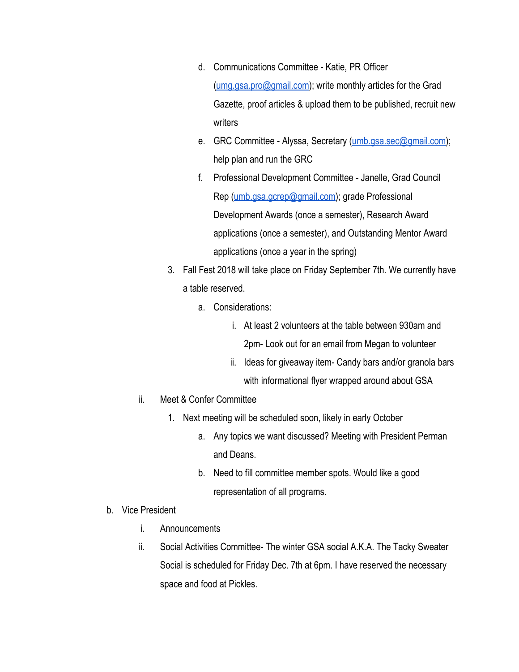- d. Communications Committee Katie, PR Officer [\(umg.gsa.pro@gmail.com](mailto:umg.gsa.pro@gmail.com)); write monthly articles for the Grad Gazette, proof articles & upload them to be published, recruit new writers
- e. GRC Committee Alyssa, Secretary ([umb.gsa.sec@gmail.com](mailto:umb.gsa.sec@gmail.com)); help plan and run the GRC
- f. Professional Development Committee Janelle, Grad Council Rep [\(umb.gsa.gcrep@gmail.com\)](mailto:umb.gsa.gcrep@gmail.com); grade Professional Development Awards (once a semester), Research Award applications (once a semester), and Outstanding Mentor Award applications (once a year in the spring)
- 3. Fall Fest 2018 will take place on Friday September 7th. We currently have a table reserved.
	- a. Considerations:
		- i. At least 2 volunteers at the table between 930am and 2pm- Look out for an email from Megan to volunteer
		- ii. Ideas for giveaway item- Candy bars and/or granola bars with informational flyer wrapped around about GSA
- ii. Meet & Confer Committee
	- 1. Next meeting will be scheduled soon, likely in early October
		- a. Any topics we want discussed? Meeting with President Perman and Deans.
		- b. Need to fill committee member spots. Would like a good representation of all programs.
- b. Vice President
	- i. Announcements
	- ii. Social Activities Committee- The winter GSA social A.K.A. The Tacky Sweater Social is scheduled for Friday Dec. 7th at 6pm. I have reserved the necessary space and food at Pickles.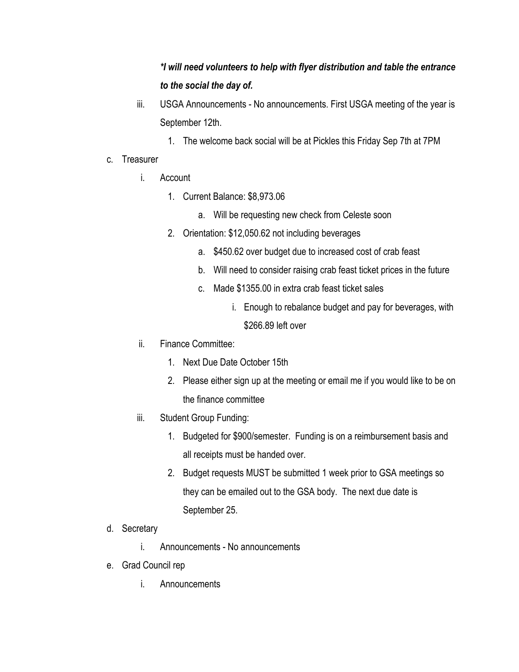## *\*I will need volunteers to help with flyer distribution and table the entrance to the social the day of.*

- iii. USGA Announcements No announcements. First USGA meeting of the year is September 12th.
	- 1. The welcome back social will be at Pickles this Friday Sep 7th at 7PM
- c. Treasurer
	- i. Account
		- 1. Current Balance: \$8,973.06
			- a. Will be requesting new check from Celeste soon
		- 2. Orientation: \$12,050.62 not including beverages
			- a. \$450.62 over budget due to increased cost of crab feast
			- b. Will need to consider raising crab feast ticket prices in the future
			- c. Made \$1355.00 in extra crab feast ticket sales
				- i. Enough to rebalance budget and pay for beverages, with \$266.89 left over
	- ii. Finance Committee:
		- 1. Next Due Date October 15th
		- 2. Please either sign up at the meeting or email me if you would like to be on the finance committee
	- iii. Student Group Funding:
		- 1. Budgeted for \$900/semester. Funding is on a reimbursement basis and all receipts must be handed over.
		- 2. Budget requests MUST be submitted 1 week prior to GSA meetings so they can be emailed out to the GSA body. The next due date is September 25.
- d. Secretary
	- i. Announcements No announcements
- e. Grad Council rep
	- i. Announcements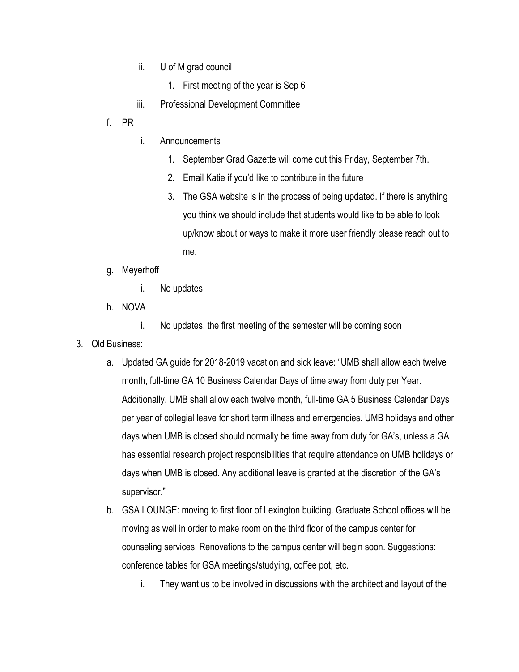- ii. U of M grad council
	- 1. First meeting of the year is Sep 6
- iii. Professional Development Committee
- f. PR
- i. Announcements
	- 1. September Grad Gazette will come out this Friday, September 7th.
	- 2. Email Katie if you'd like to contribute in the future
	- 3. The GSA website is in the process of being updated. If there is anything you think we should include that students would like to be able to look up/know about or ways to make it more user friendly please reach out to me.
- g. Meyerhoff
	- i. No updates
- h. NOVA
	- i. No updates, the first meeting of the semester will be coming soon
- 3. Old Business:
	- a. Updated GA guide for 2018-2019 vacation and sick leave: "UMB shall allow each twelve month, full-time GA 10 Business Calendar Days of time away from duty per Year. Additionally, UMB shall allow each twelve month, full-time GA 5 Business Calendar Days per year of collegial leave for short term illness and emergencies. UMB holidays and other days when UMB is closed should normally be time away from duty for GA's, unless a GA has essential research project responsibilities that require attendance on UMB holidays or days when UMB is closed. Any additional leave is granted at the discretion of the GA's supervisor."
	- b. GSA LOUNGE: moving to first floor of Lexington building. Graduate School offices will be moving as well in order to make room on the third floor of the campus center for counseling services. Renovations to the campus center will begin soon. Suggestions: conference tables for GSA meetings/studying, coffee pot, etc.
		- i. They want us to be involved in discussions with the architect and layout of the